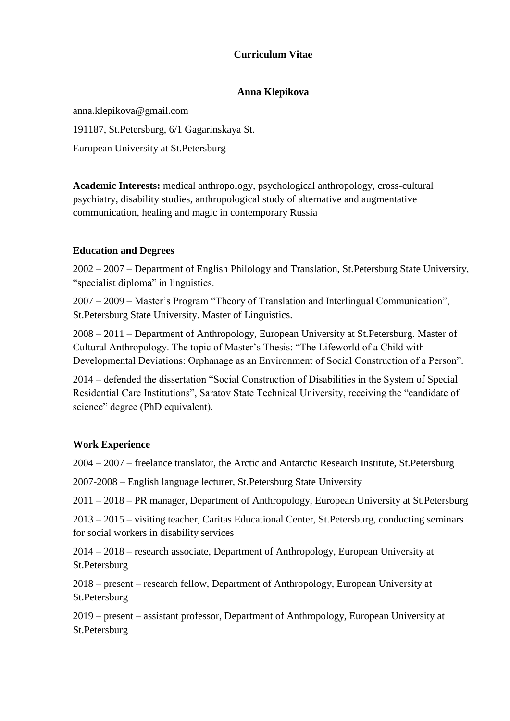## **Curriculum Vitae**

#### **Anna Klepikova**

anna.klepikova@gmail.com 191187, St.Petersburg, 6/1 Gagarinskaya St. European University at St.Petersburg

**Academic Interests:** medical anthropology, psychological anthropology, cross-cultural psychiatry, disability studies, anthropological study of alternative and augmentative communication, healing and magic in contemporary Russia

### **Education and Degrees**

2002 – 2007 – Department of English Philology and Translation, St.Petersburg State University, "specialist diploma" in linguistics.

2007 – 2009 – Master's Program "Theory of Translation and Interlingual Communication", St.Petersburg State University. Master of Linguistics.

2008 – 2011 – Department of Anthropology, European University at St.Petersburg. Master of Cultural Anthropology. The topic of Master's Thesis: "The Lifeworld of a Child with Developmental Deviations: Orphanage as an Environment of Social Construction of a Person".

2014 – defended the dissertation "Social Construction of Disabilities in the System of Special Residential Care Institutions", Saratov State Technical University, receiving the "candidate of science" degree (PhD equivalent).

### **Work Experience**

2004 – 2007 – freelance translator, the Arctic and Antarctic Research Institute, St.Petersburg

2007-2008 – English language lecturer, St.Petersburg State University

2011 – 2018 – PR manager, Department of Anthropology, European University at St.Petersburg

2013 – 2015 – visiting teacher, Caritas Educational Center, St.Petersburg, conducting seminars for social workers in disability services

2014 – 2018 – research associate, Department of Anthropology, European University at St.Petersburg

2018 – present – research fellow, Department of Anthropology, European University at St.Petersburg

2019 – present – assistant professor, Department of Anthropology, European University at St.Petersburg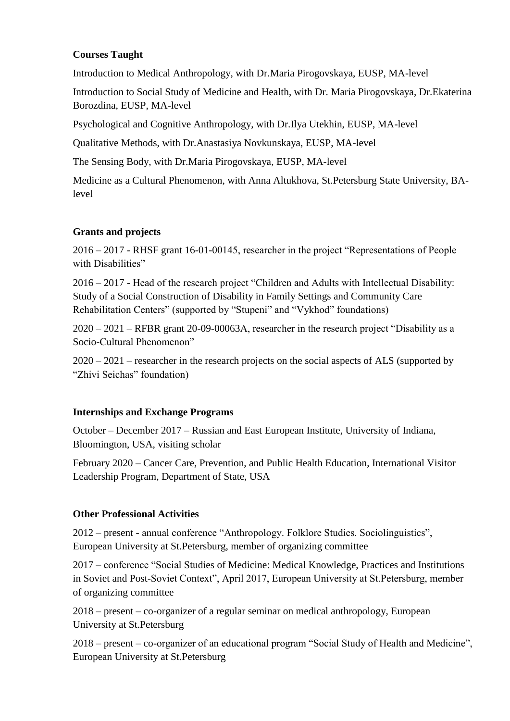## **Courses Taught**

Introduction to Medical Anthropology, with Dr.Maria Pirogovskaya, EUSP, MA-level

Introduction to Social Study of Medicine and Health, with Dr. Maria Pirogovskaya, Dr.Ekaterina Borozdina, EUSP, MA-level

Psychological and Cognitive Anthropology, with Dr.Ilya Utekhin, EUSP, MA-level

Qualitative Methods, with Dr.Anastasiya Novkunskaya, EUSP, MA-level

The Sensing Body, with Dr.Maria Pirogovskaya, EUSP, MA-level

Medicine as a Cultural Phenomenon, with Anna Altukhova, St.Petersburg State University, BAlevel

## **Grants and projects**

2016 – 2017 - RHSF grant 16-01-00145, researcher in the project "Representations of People with Disabilities"

2016 – 2017 - Head of the research project "Children and Adults with Intellectual Disability: Study of a Social Construction of Disability in Family Settings and Community Care Rehabilitation Centers" (supported by "Stupeni" and "Vykhod" foundations)

2020 – 2021 – RFBR grant 20-09-00063А, researcher in the research project "Disability as a Socio-Cultural Phenomenon"

2020 – 2021 – researcher in the research projects on the social aspects of ALS (supported by "Zhivi Seichas" foundation)

# **Internships and Exchange Programs**

October – December 2017 – Russian and East European Institute, University of Indiana, Bloomington, USA, visiting scholar

February 2020 – Cancer Care, Prevention, and Public Health Education, International Visitor Leadership Program, Department of State, USA

# **Other Professional Activities**

2012 – present - annual conference "Anthropology. Folklore Studies. Sociolinguistics", European University at St.Petersburg, member of organizing committee

2017 – conference "Social Studies of Medicine: Medical Knowledge, Practices and Institutions in Soviet and Post-Soviet Context", April 2017, European University at St.Petersburg, member of organizing committee

2018 – present – co-organizer of a regular seminar on medical anthropology, European University at St.Petersburg

2018 – present – co-organizer of an educational program "Social Study of Health and Medicine", European University at St.Petersburg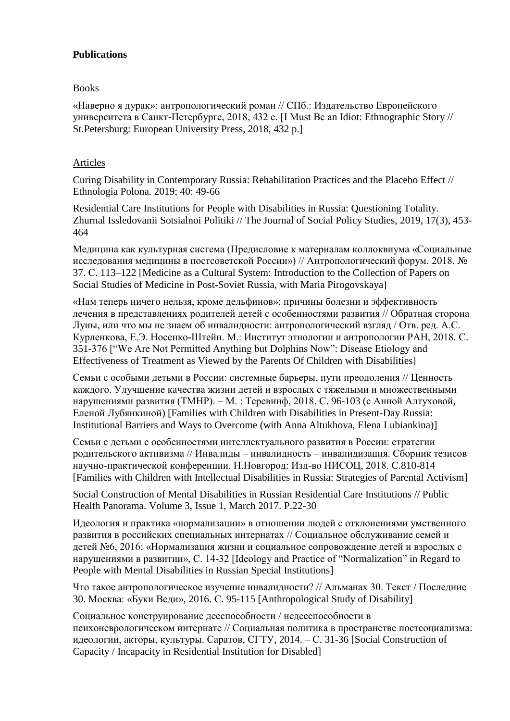## **Publications**

## Books

«Наверно я дурак»: антропологический роман // СПб.: Издательство Европейского университета в Санкт-Петербурге, 2018, 432 c. [I Must Be an Idiot: Ethnographic Story // St.Petersburg: European University Press, 2018, 432 p.]

## Articles

Curing Disability in Contemporary Russia: Rehabilitation Practices and the Placebo Effect // Ethnologia Polona. 2019; 40: 49-66

Residential Care Institutions for People with Disabilities in Russia: Questioning Totality. Zhurnal Issledovanii Sotsialnoi Politiki // The Journal of Social Policy Studies, 2019, 17(3), 453- 464

Медицина как культурная система (Предисловие к материалам коллоквиума «Социальные исследования медицины в постсоветской России») // Антропологический форум. 2018. № 37. С. 113–122 [Medicine as a Cultural System: Introduction to the Collection of Papers on Social Studies of Medicine in Post-Soviet Russia, with Maria Pirogovskaya]

«Нам теперь ничего нельзя, кроме дельфинов»: причины болезни и эффективность лечения в представлениях родителей детей с особенностями развития // Обратная сторона Луны, или что мы не знаем об инвалидности: антропологический взгляд / Отв. ред. А.С. Курленкова, Е.Э. Носенко-Штейн. М.: Институт этнологии и антропологии РАН, 2018. С. 351-376 ["We Are Not Permitted Anything but Dolphins Now": Disease Etiology and Effectiveness of Treatment as Viewed by the Parents Of Children with Disabilities]

Семьи с особыми детьми в России: системные барьеры, пути преодоления // Ценность каждого. Улучшение качества жизни детей и взрослых с тяжелыми и множественными нарушениями развития (ТМНР). – М. : Теревинф, 2018. С. 96-103 (с Анной Алтуховой, Еленой Лубянкиной) [Families with Children with Disabilities in Present-Day Russia: Institutional Barriers and Ways to Overcome (with Anna Altukhova, Elena Lubiankina)]

Семьи с детьми с особенностями интеллектуального развития в России: стратегии родительского активизма // Инвалиды – инвалидность – инвалидизация. Сборник тезисов научно-практической конференции. Н.Новгород: Изд-во НИСОЦ, 2018. С.810-814 [Families with Children with Intellectual Disabilities in Russia: Strategies of Parental Activism]

Social Construction of Mental Disabilities in Russian Residential Care Institutions // Public Health Panorama. Volume 3, Issue 1, March 2017. P.22-30

Идеология и практика «нормализации» в отношении людей с отклонениями умственного развития в российских специальных интернатах // Социальное обслуживание семей и детей №6, 2016: «Hормализация жизни и социальное сопровождение детей и взрослых с нарушениями в развитии», C. 14-32 [Ideology and Practice of "Normalization" in Regard to People with Mental Disabilities in Russian Special Institutions]

Что такое антропологическое изучение инвалидности? // Альманах 30. Текст / Последние 30. Москва: «Буки Веди», 2016. С. 95-115 [Anthropological Study of Disability]

Социальное конструирование дееспособности / недееспособности в психоневрологическом интернате // Социальная политика в пространстве постсоциализма: идеологии, акторы, культуры. Саратов, СГТУ, 2014. – С. 31-36 [Social Construction of Capacity / Incapacity in Residential Institution for Disabled]